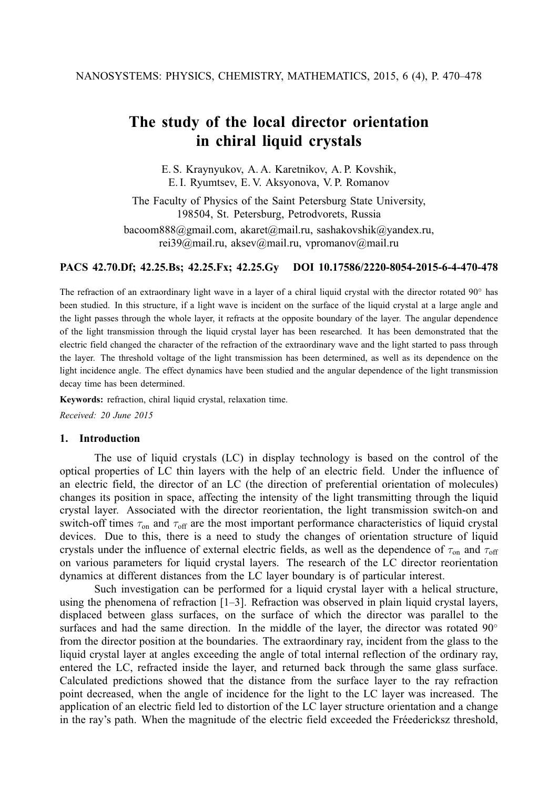# **The study of the local director orientation in chiral liquid crystals**

E. S. Kraynyukov, A. A. Karetnikov, A. P. Kovshik, E. I. Ryumtsev, E. V. Aksyonova, V. P. Romanov

The Faculty of Physics of the Saint Petersburg State University, 198504, St. Petersburg, Petrodvorets, Russia

bacoom888@gmail.com, akaret@mail.ru, sashakovshik@yandex.ru, rei39@mail.ru, aksev@mail.ru, vpromanov@mail.ru

### **PACS 42.70.Df; 42.25.Bs; 42.25.Fx; 42.25.Gy DOI 10.17586/2220-8054-2015-6-4-470-478**

The refraction of an extraordinary light wave in a layer of a chiral liquid crystal with the director rotated 90◦ has been studied. In this structure, if a light wave is incident on the surface of the liquid crystal at a large angle and the light passes through the whole layer, it refracts at the opposite boundary of the layer. The angular dependence of the light transmission through the liquid crystal layer has been researched. It has been demonstrated that the electric field changed the character of the refraction of the extraordinary wave and the light started to pass through the layer. The threshold voltage of the light transmission has been determined, as well as its dependence on the light incidence angle. The effect dynamics have been studied and the angular dependence of the light transmission decay time has been determined.

**Keywords:** refraction, chiral liquid crystal, relaxation time.

*Received: 20 June 2015*

## **1. Introduction**

The use of liquid crystals (LC) in display technology is based on the control of the optical properties of LC thin layers with the help of an electric field. Under the influence of an electric field, the director of an LC (the direction of preferential orientation of molecules) changes its position in space, affecting the intensity of the light transmitting through the liquid crystal layer. Associated with the director reorientation, the light transmission switch-on and switch-off times  $\tau_{on}$  and  $\tau_{off}$  are the most important performance characteristics of liquid crystal devices. Due to this, there is a need to study the changes of orientation structure of liquid crystals under the influence of external electric fields, as well as the dependence of  $\tau_{on}$  and  $\tau_{off}$ on various parameters for liquid crystal layers. The research of the LC director reorientation dynamics at different distances from the LC layer boundary is of particular interest.

Such investigation can be performed for a liquid crystal layer with a helical structure, using the phenomena of refraction [1–3]. Refraction was observed in plain liquid crystal layers, displaced between glass surfaces, on the surface of which the director was parallel to the surfaces and had the same direction. In the middle of the layer, the director was rotated  $90°$ from the director position at the boundaries. The extraordinary ray, incident from the glass to the liquid crystal layer at angles exceeding the angle of total internal reflection of the ordinary ray, entered the LC, refracted inside the layer, and returned back through the same glass surface. Calculated predictions showed that the distance from the surface layer to the ray refraction point decreased, when the angle of incidence for the light to the LC layer was increased. The application of an electric field led to distortion of the LC layer structure orientation and a change in the ray's path. When the magnitude of the electric field exceeded the Fréedericksz threshold,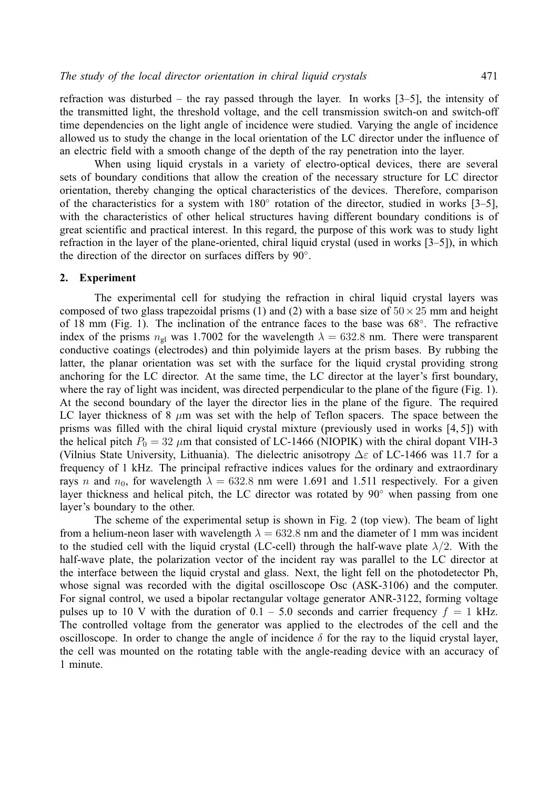refraction was disturbed – the ray passed through the layer. In works [3–5], the intensity of the transmitted light, the threshold voltage, and the cell transmission switch-on and switch-off time dependencies on the light angle of incidence were studied. Varying the angle of incidence allowed us to study the change in the local orientation of the LC director under the influence of an electric field with a smooth change of the depth of the ray penetration into the layer.

When using liquid crystals in a variety of electro-optical devices, there are several sets of boundary conditions that allow the creation of the necessary structure for LC director orientation, thereby changing the optical characteristics of the devices. Therefore, comparison of the characteristics for a system with 180° rotation of the director, studied in works [3-5], with the characteristics of other helical structures having different boundary conditions is of great scientific and practical interest. In this regard, the purpose of this work was to study light refraction in the layer of the plane-oriented, chiral liquid crystal (used in works [3–5]), in which the direction of the director on surfaces differs by 90°.

#### **2. Experiment**

The experimental cell for studying the refraction in chiral liquid crystal layers was composed of two glass trapezoidal prisms (1) and (2) with a base size of  $50 \times 25$  mm and height of 18 mm (Fig. 1). The inclination of the entrance faces to the base was 68°. The refractive index of the prisms  $n_{gl}$  was 1.7002 for the wavelength  $\lambda = 632.8$  nm. There were transparent conductive coatings (electrodes) and thin polyimide layers at the prism bases. By rubbing the latter, the planar orientation was set with the surface for the liquid crystal providing strong anchoring for the LC director. At the same time, the LC director at the layer's first boundary, where the ray of light was incident, was directed perpendicular to the plane of the figure (Fig. 1). At the second boundary of the layer the director lies in the plane of the figure. The required LC layer thickness of 8  $\mu$ m was set with the help of Teflon spacers. The space between the prisms was filled with the chiral liquid crystal mixture (previously used in works [4, 5]) with the helical pitch  $P_0 = 32 \mu m$  that consisted of LC-1466 (NIOPIK) with the chiral dopant VIH-3 (Vilnius State University, Lithuania). The dielectric anisotropy  $\Delta \varepsilon$  of LC-1466 was 11.7 for a frequency of 1 kHz. The principal refractive indices values for the ordinary and extraordinary rays n and  $n_0$ , for wavelength  $\lambda = 632.8$  nm were 1.691 and 1.511 respectively. For a given layer thickness and helical pitch, the LC director was rotated by 90◦ when passing from one layer's boundary to the other.

The scheme of the experimental setup is shown in Fig. 2 (top view). The beam of light from a helium-neon laser with wavelength  $\lambda = 632.8$  nm and the diameter of 1 mm was incident to the studied cell with the liquid crystal (LC-cell) through the half-wave plate  $\lambda/2$ . With the half-wave plate, the polarization vector of the incident ray was parallel to the LC director at the interface between the liquid crystal and glass. Next, the light fell on the photodetector Ph, whose signal was recorded with the digital oscilloscope Osc (ASK-3106) and the computer. For signal control, we used a bipolar rectangular voltage generator ANR-3122, forming voltage pulses up to 10 V with the duration of  $0.1 - 5.0$  seconds and carrier frequency  $f = 1$  kHz. The controlled voltage from the generator was applied to the electrodes of the cell and the oscilloscope. In order to change the angle of incidence  $\delta$  for the ray to the liquid crystal layer, the cell was mounted on the rotating table with the angle-reading device with an accuracy of 1 minute.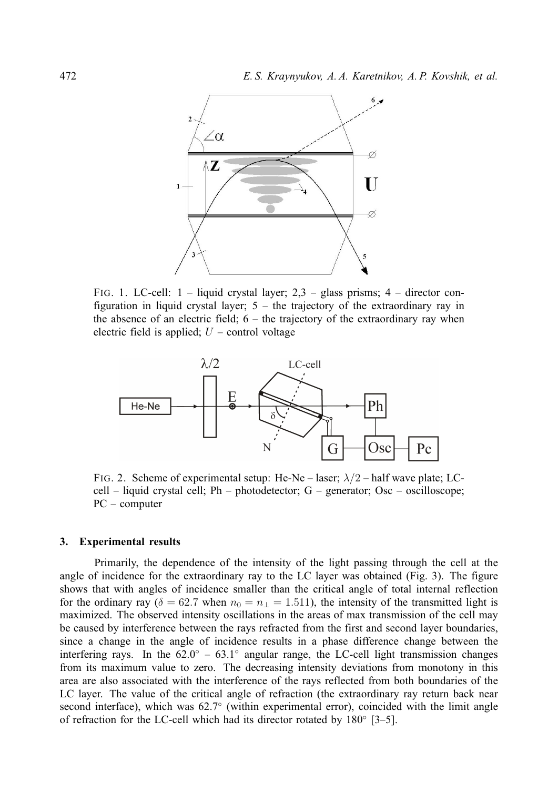

FIG. 1. LC-cell: 1 – liquid crystal layer; 2,3 – glass prisms; 4 – director configuration in liquid crystal layer; 5 – the trajectory of the extraordinary ray in the absence of an electric field;  $6 -$  the trajectory of the extraordinary ray when electric field is applied;  $U$  – control voltage



FIG. 2. Scheme of experimental setup: He-Ne – laser;  $\lambda/2$  – half wave plate; LCcell – liquid crystal cell; Ph – photodetector; G – generator; Osc – oscilloscope; PC – computer

#### **3. Experimental results**

Primarily, the dependence of the intensity of the light passing through the cell at the angle of incidence for the extraordinary ray to the LC layer was obtained (Fig. 3). The figure shows that with angles of incidence smaller than the critical angle of total internal reflection for the ordinary ray ( $\delta = 62.7$  when  $n_0 = n_1 = 1.511$ ), the intensity of the transmitted light is maximized. The observed intensity oscillations in the areas of max transmission of the cell may be caused by interference between the rays refracted from the first and second layer boundaries, since a change in the angle of incidence results in a phase difference change between the interfering rays. In the  $62.0° - 63.1°$  angular range, the LC-cell light transmission changes from its maximum value to zero. The decreasing intensity deviations from monotony in this area are also associated with the interference of the rays reflected from both boundaries of the LC layer. The value of the critical angle of refraction (the extraordinary ray return back near second interface), which was 62.7° (within experimental error), coincided with the limit angle of refraction for the LC-cell which had its director rotated by 180◦ [3–5].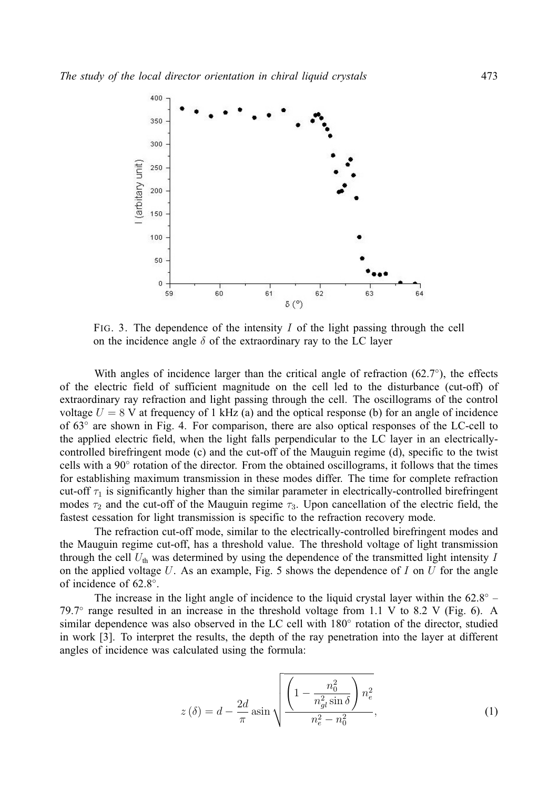

FIG. 3. The dependence of the intensity  $I$  of the light passing through the cell on the incidence angle  $\delta$  of the extraordinary ray to the LC layer

With angles of incidence larger than the critical angle of refraction  $(62.7°)$ , the effects of the electric field of sufficient magnitude on the cell led to the disturbance (cut-off) of extraordinary ray refraction and light passing through the cell. The oscillograms of the control voltage  $U = 8$  V at frequency of 1 kHz (a) and the optical response (b) for an angle of incidence of 63◦ are shown in Fig. 4. For comparison, there are also optical responses of the LC-cell to the applied electric field, when the light falls perpendicular to the LC layer in an electricallycontrolled birefringent mode (c) and the cut-off of the Mauguin regime (d), specific to the twist cells with a 90° rotation of the director. From the obtained oscillograms, it follows that the times for establishing maximum transmission in these modes differ. The time for complete refraction cut-off  $\tau_1$  is significantly higher than the similar parameter in electrically-controlled birefringent modes  $\tau_2$  and the cut-off of the Mauguin regime  $\tau_3$ . Upon cancellation of the electric field, the fastest cessation for light transmission is specific to the refraction recovery mode.

The refraction cut-off mode, similar to the electrically-controlled birefringent modes and the Mauguin regime cut-off, has a threshold value. The threshold voltage of light transmission through the cell  $U_{\text{th}}$  was determined by using the dependence of the transmitted light intensity I on the applied voltage  $U$ . As an example, Fig. 5 shows the dependence of  $I$  on  $U$  for the angle of incidence of 62.8◦ .

The increase in the light angle of incidence to the liquid crystal layer within the  $62.8°$  -79.7◦ range resulted in an increase in the threshold voltage from 1.1 V to 8.2 V (Fig. 6). A similar dependence was also observed in the LC cell with 180° rotation of the director, studied in work [3]. To interpret the results, the depth of the ray penetration into the layer at different angles of incidence was calculated using the formula:

$$
z(\delta) = d - \frac{2d}{\pi} \operatorname{asin} \sqrt{\frac{\left(1 - \frac{n_0^2}{n_{gl}^2 \sin \delta}\right) n_e^2}{n_e^2 - n_0^2}},\tag{1}
$$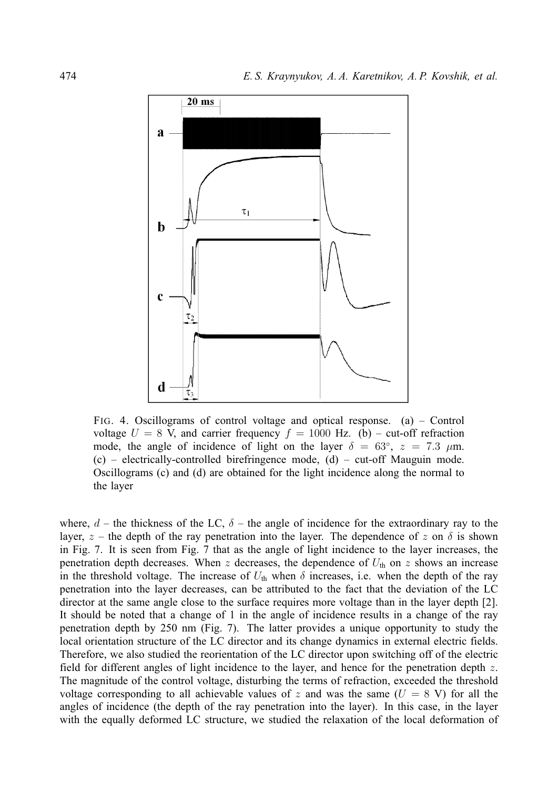

FIG. 4. Oscillograms of control voltage and optical response. (a) – Control voltage  $U = 8$  V, and carrier frequency  $f = 1000$  Hz. (b) – cut-off refraction mode, the angle of incidence of light on the layer  $\delta = 63^{\circ}$ ,  $z = 7.3 \mu m$ .  $(c)$  – electrically-controlled birefringence mode,  $(d)$  – cut-off Mauguin mode. Oscillograms (c) and (d) are obtained for the light incidence along the normal to the layer

where,  $d$  – the thickness of the LC,  $\delta$  – the angle of incidence for the extraordinary ray to the layer,  $z$  – the depth of the ray penetration into the layer. The dependence of z on  $\delta$  is shown in Fig. 7. It is seen from Fig. 7 that as the angle of light incidence to the layer increases, the penetration depth decreases. When z decreases, the dependence of  $U_{th}$  on z shows an increase in the threshold voltage. The increase of  $U_{th}$  when  $\delta$  increases, i.e. when the depth of the ray penetration into the layer decreases, can be attributed to the fact that the deviation of the LC director at the same angle close to the surface requires more voltage than in the layer depth [2]. It should be noted that a change of 1 in the angle of incidence results in a change of the ray penetration depth by 250 nm (Fig. 7). The latter provides a unique opportunity to study the local orientation structure of the LC director and its change dynamics in external electric fields. Therefore, we also studied the reorientation of the LC director upon switching off of the electric field for different angles of light incidence to the layer, and hence for the penetration depth z. The magnitude of the control voltage, disturbing the terms of refraction, exceeded the threshold voltage corresponding to all achievable values of z and was the same  $(U = 8 V)$  for all the angles of incidence (the depth of the ray penetration into the layer). In this case, in the layer with the equally deformed LC structure, we studied the relaxation of the local deformation of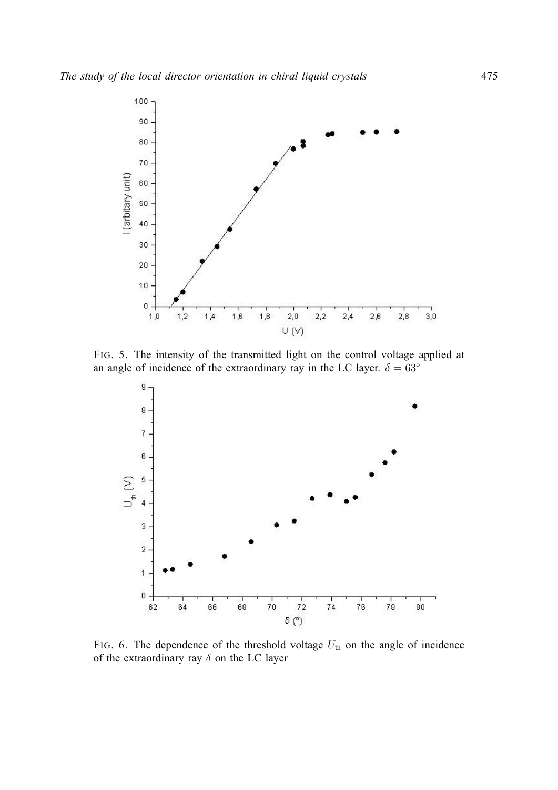

FIG. 5. The intensity of the transmitted light on the control voltage applied at an angle of incidence of the extraordinary ray in the LC layer.  $\delta = 63^\circ$ 



FIG. 6. The dependence of the threshold voltage  $U_{th}$  on the angle of incidence of the extraordinary ray  $\delta$  on the LC layer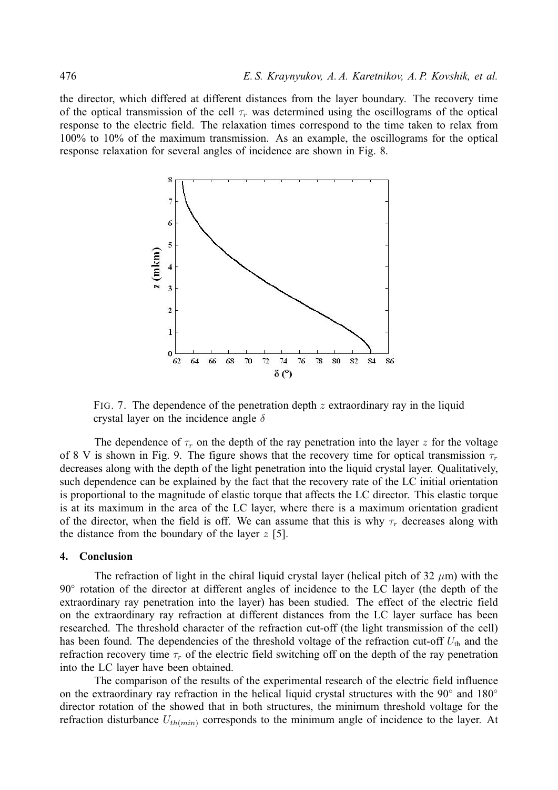the director, which differed at different distances from the layer boundary. The recovery time of the optical transmission of the cell  $\tau_r$  was determined using the oscillograms of the optical response to the electric field. The relaxation times correspond to the time taken to relax from 100% to 10% of the maximum transmission. As an example, the oscillograms for the optical response relaxation for several angles of incidence are shown in Fig. 8.



FIG. 7. The dependence of the penetration depth  $z$  extraordinary ray in the liquid crystal layer on the incidence angle  $\delta$ 

The dependence of  $\tau_r$  on the depth of the ray penetration into the layer z for the voltage of 8 V is shown in Fig. 9. The figure shows that the recovery time for optical transmission  $\tau_r$ decreases along with the depth of the light penetration into the liquid crystal layer. Qualitatively, such dependence can be explained by the fact that the recovery rate of the LC initial orientation is proportional to the magnitude of elastic torque that affects the LC director. This elastic torque is at its maximum in the area of the LC layer, where there is a maximum orientation gradient of the director, when the field is off. We can assume that this is why  $\tau_r$  decreases along with the distance from the boundary of the layer  $z$  [5].

#### **4. Conclusion**

The refraction of light in the chiral liquid crystal layer (helical pitch of  $32 \mu m$ ) with the 90° rotation of the director at different angles of incidence to the LC layer (the depth of the extraordinary ray penetration into the layer) has been studied. The effect of the electric field on the extraordinary ray refraction at different distances from the LC layer surface has been researched. The threshold character of the refraction cut-off (the light transmission of the cell) has been found. The dependencies of the threshold voltage of the refraction cut-off  $U_{th}$  and the refraction recovery time  $\tau_r$  of the electric field switching off on the depth of the ray penetration into the LC layer have been obtained.

The comparison of the results of the experimental research of the electric field influence on the extraordinary ray refraction in the helical liquid crystal structures with the 90° and 180° director rotation of the showed that in both structures, the minimum threshold voltage for the refraction disturbance  $U_{th(min)}$  corresponds to the minimum angle of incidence to the layer. At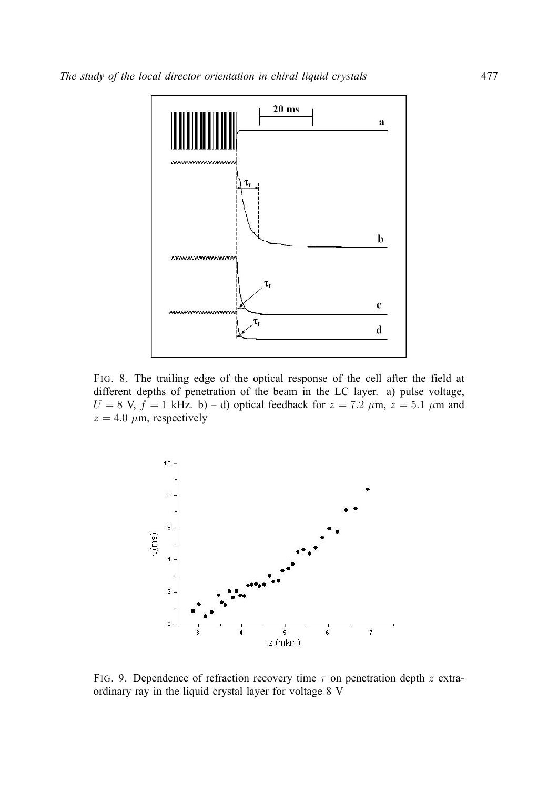

FIG. 8. The trailing edge of the optical response of the cell after the field at different depths of penetration of the beam in the LC layer. a) pulse voltage,  $U = 8$  V,  $f = 1$  kHz. b) – d) optical feedback for  $z = 7.2$   $\mu$ m,  $z = 5.1$   $\mu$ m and  $z = 4.0 \mu m$ , respectively



FIG. 9. Dependence of refraction recovery time  $\tau$  on penetration depth z extraordinary ray in the liquid crystal layer for voltage 8 V